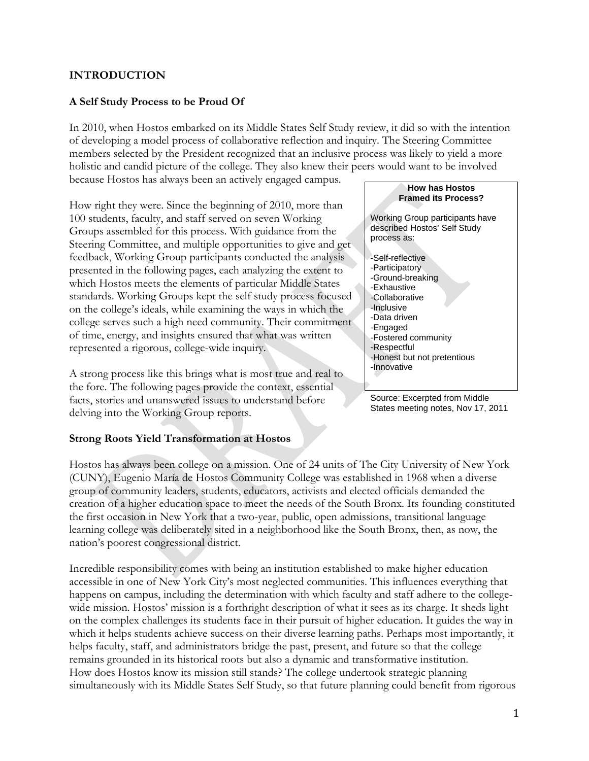# **INTRODUCTION**

## **A Self Study Process to be Proud Of**

In 2010, when Hostos embarked on its Middle States Self Study review, it did so with the intention of developing a model process of collaborative reflection and inquiry. The Steering Committee members selected by the President recognized that an inclusive process was likely to yield a more holistic and candid picture of the college. They also knew their peers would want to be involved because Hostos has always been an actively engaged campus.

How right they were. Since the beginning of 2010, more than 100 students, faculty, and staff served on seven Working Groups assembled for this process. With guidance from the Steering Committee, and multiple opportunities to give and get feedback, Working Group participants conducted the analysis presented in the following pages, each analyzing the extent to which Hostos meets the elements of particular Middle States standards. Working Groups kept the self study process focused on the college's ideals, while examining the ways in which the college serves such a high need community. Their commitment of time, energy, and insights ensured that what was written represented a rigorous, college-wide inquiry.

A strong process like this brings what is most true and real to the fore. The following pages provide the context, essential facts, stories and unanswered issues to understand before delving into the Working Group reports.

### **Strong Roots Yield Transformation at Hostos**

Hostos has always been college on a mission. One of 24 units of The City University of New York (CUNY), Eugenio María de Hostos Community College was established in 1968 when a diverse group of community leaders, students, educators, activists and elected officials demanded the creation of a higher education space to meet the needs of the South Bronx. Its founding constituted the first occasion in New York that a two-year, public, open admissions, transitional language learning college was deliberately sited in a neighborhood like the South Bronx, then, as now, the nation's poorest congressional district.

Incredible responsibility comes with being an institution established to make higher education accessible in one of New York City's most neglected communities. This influences everything that happens on campus, including the determination with which faculty and staff adhere to the collegewide mission. Hostos' mission is a forthright description of what it sees as its charge. It sheds light on the complex challenges its students face in their pursuit of higher education. It guides the way in which it helps students achieve success on their diverse learning paths. Perhaps most importantly, it helps faculty, staff, and administrators bridge the past, present, and future so that the college remains grounded in its historical roots but also a dynamic and transformative institution. How does Hostos know its mission still stands? The college undertook strategic planning simultaneously with its Middle States Self Study, so that future planning could benefit from rigorous



Source: Excerpted from Middle States meeting notes, Nov 17, 2011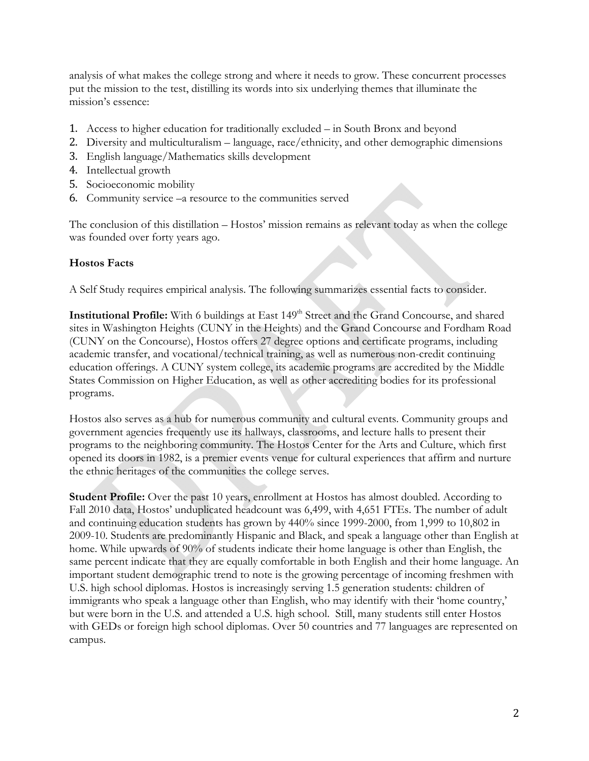analysis of what makes the college strong and where it needs to grow. These concurrent processes put the mission to the test, distilling its words into six underlying themes that illuminate the mission's essence:

- 1. Access to higher education for traditionally excluded in South Bronx and beyond
- 2. Diversity and multiculturalism language, race/ethnicity, and other demographic dimensions
- 3. English language/Mathematics skills development
- 4. Intellectual growth
- 5. Socioeconomic mobility
- 6. Community service –a resource to the communities served

The conclusion of this distillation – Hostos' mission remains as relevant today as when the college was founded over forty years ago.

# **Hostos Facts**

A Self Study requires empirical analysis. The following summarizes essential facts to consider.

Institutional Profile: With 6 buildings at East 149<sup>th</sup> Street and the Grand Concourse, and shared sites in Washington Heights (CUNY in the Heights) and the Grand Concourse and Fordham Road (CUNY on the Concourse), Hostos offers 27 degree options and certificate programs, including academic transfer, and vocational/technical training, as well as numerous non-credit continuing education offerings. A CUNY system college, its academic programs are accredited by the Middle States Commission on Higher Education, as well as other accrediting bodies for its professional programs.

Hostos also serves as a hub for numerous community and cultural events. Community groups and government agencies frequently use its hallways, classrooms, and lecture halls to present their programs to the neighboring community. The Hostos Center for the Arts and Culture, which first opened its doors in 1982, is a premier events venue for cultural experiences that affirm and nurture the ethnic heritages of the communities the college serves.

Student Profile: Over the past 10 years, enrollment at Hostos has almost doubled. According to Fall 2010 data, Hostos' unduplicated headcount was 6,499, with 4,651 FTEs. The number of adult and continuing education students has grown by 440% since 1999-2000, from 1,999 to 10,802 in 2009-10. Students are predominantly Hispanic and Black, and speak a language other than English at home. While upwards of 90% of students indicate their home language is other than English, the same percent indicate that they are equally comfortable in both English and their home language. An important student demographic trend to note is the growing percentage of incoming freshmen with U.S. high school diplomas. Hostos is increasingly serving 1.5 generation students: children of immigrants who speak a language other than English, who may identify with their 'home country,' but were born in the U.S. and attended a U.S. high school. Still, many students still enter Hostos with GEDs or foreign high school diplomas. Over 50 countries and 77 languages are represented on campus.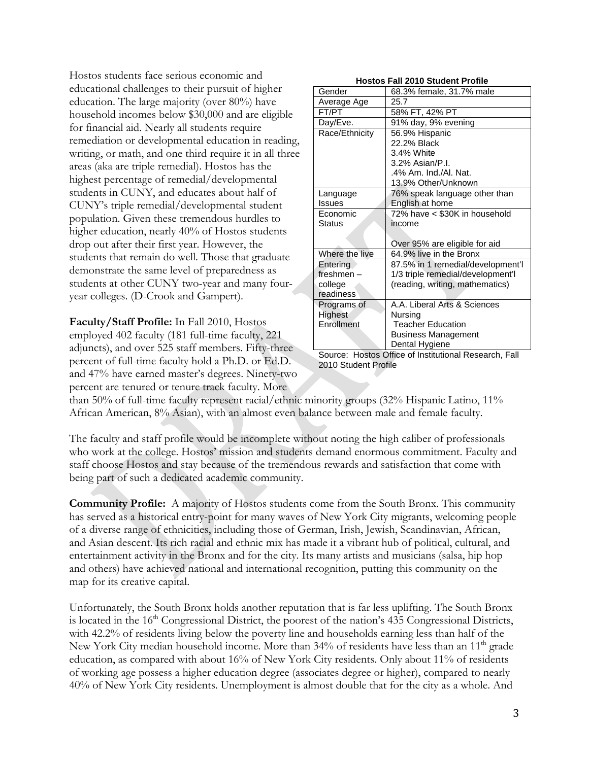Hostos students face serious economic and educational challenges to their pursuit of higher education. The large majority (over 80%) have household incomes below \$30,000 and are eligible for financial aid. Nearly all students require remediation or developmental education in reading, writing, or math, and one third require it in all three areas (aka are triple remedial). Hostos has the highest percentage of remedial/developmental students in CUNY, and educates about half of CUNY's triple remedial/developmental student population. Given these tremendous hurdles to higher education, nearly 40% of Hostos students drop out after their first year. However, the students that remain do well. Those that graduate demonstrate the same level of preparedness as students at other CUNY two-year and many fouryear colleges. (D-Crook and Gampert).

**Faculty/Staff Profile:** In Fall 2010, Hostos employed 402 faculty (181 full-time faculty, 221 adjuncts), and over 525 staff members. Fifty-three percent of full-time faculty hold a Ph.D. or Ed.D. and 47% have earned master's degrees. Ninety-two percent are tenured or tenure track faculty. More

| <b>Hostos Fall 2010 Student Profile</b> |  |
|-----------------------------------------|--|
|-----------------------------------------|--|

| Gender           | 68.3% female, 31.7% male          |  |
|------------------|-----------------------------------|--|
| Average Age      | 25.7                              |  |
| FT/PT            | 58% FT, 42% PT                    |  |
| Day/Eve.         | 91% day, 9% evening               |  |
| Race/Ethnicity   | 56.9% Hispanic                    |  |
|                  | 22.2% Black                       |  |
|                  | 3.4% White                        |  |
|                  | 3.2% Asian/P.I.                   |  |
|                  | .4% Am. Ind./Al. Nat.             |  |
|                  | 13.9% Other/Unknown               |  |
| Language         | 76% speak language other than     |  |
| <b>Issues</b>    | English at home                   |  |
| Economic         | 72% have < \$30K in household     |  |
| Status           | income                            |  |
|                  |                                   |  |
|                  | Over 95% are eligible for aid     |  |
| Where the live   | 64.9% live in the Bronx           |  |
| Entering         | 87.5% in 1 remedial/development'l |  |
| freshmen -       | 1/3 triple remedial/development'l |  |
| college          | (reading, writing, mathematics)   |  |
| <b>readiness</b> |                                   |  |
| Programs of      | A.A. Liberal Arts & Sciences      |  |
| Highest          | Nursing                           |  |
| Enrollment       | <b>Teacher Education</b>          |  |
|                  | <b>Business Management</b>        |  |
|                  | Dental Hygiene                    |  |

Source: Hostos Office of Institutional Research, Fall 2010 Student Profile

than 50% of full-time faculty represent racial/ethnic minority groups (32% Hispanic Latino, 11% African American, 8% Asian), with an almost even balance between male and female faculty.

The faculty and staff profile would be incomplete without noting the high caliber of professionals who work at the college. Hostos' mission and students demand enormous commitment. Faculty and staff choose Hostos and stay because of the tremendous rewards and satisfaction that come with being part of such a dedicated academic community.

**Community Profile:** A majority of Hostos students come from the South Bronx. This community has served as a historical entry-point for many waves of New York City migrants, welcoming people of a diverse range of ethnicities, including those of German, Irish, Jewish, Scandinavian, African, and Asian descent. Its rich racial and ethnic mix has made it a vibrant hub of political, cultural, and entertainment activity in the Bronx and for the city. Its many artists and musicians (salsa, hip hop and others) have achieved national and international recognition, putting this community on the map for its creative capital.

Unfortunately, the South Bronx holds another reputation that is far less uplifting. The South Bronx is located in the 16<sup>th</sup> Congressional District, the poorest of the nation's 435 Congressional Districts, with 42.2% of residents living below the poverty line and households earning less than half of the New York City median household income. More than  $34\%$  of residents have less than an  $11<sup>th</sup>$  grade education, as compared with about 16% of New York City residents. Only about 11% of residents of working age possess a higher education degree (associates degree or higher), compared to nearly 40% of New York City residents. Unemployment is almost double that for the city as a whole. And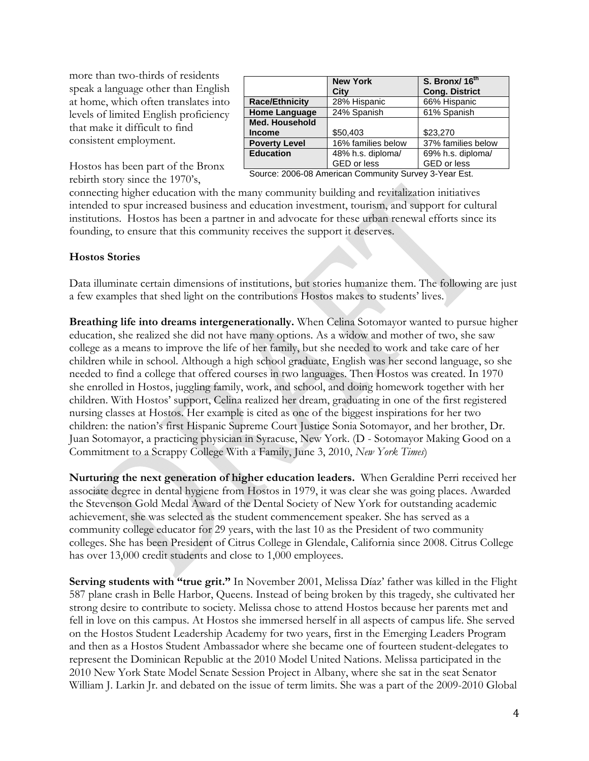more than two-thirds of residents speak a language other than English at home, which often translates into levels of limited English proficiency that make it difficult to find consistent employment.

| <b>New York</b><br>City | S. Bronx/ 16 <sup>th</sup><br><b>Cong. District</b> |
|-------------------------|-----------------------------------------------------|
| 28% Hispanic            | 66% Hispanic                                        |
| 24% Spanish             | 61% Spanish                                         |
|                         |                                                     |
| \$50,403                | \$23,270                                            |
| 16% families below      | 37% families below                                  |
| 48% h.s. diploma/       | 69% h.s. diploma/                                   |
| GED or less             | GED or less                                         |
|                         |                                                     |

Hostos has been part of the Bronx rebirth story since the 1970's,

Source: 2006-08 American Community Survey 3-Year Est.

connecting higher education with the many community building and revitalization initiatives intended to spur increased business and education investment, tourism, and support for cultural institutions. Hostos has been a partner in and advocate for these urban renewal efforts since its founding, to ensure that this community receives the support it deserves.

### **Hostos Stories**

Data illuminate certain dimensions of institutions, but stories humanize them. The following are just a few examples that shed light on the contributions Hostos makes to students' lives.

**Breathing life into dreams intergenerationally.** When Celina Sotomayor wanted to pursue higher education, she realized she did not have many options. As a widow and mother of two, she saw college as a means to improve the life of her family, but she needed to work and take care of her children while in school. Although a high school graduate, English was her second language, so she needed to find a college that offered courses in two languages. Then Hostos was created. In 1970 she enrolled in Hostos, juggling family, work, and school, and doing homework together with her children. With Hostos' support, Celina realized her dream, graduating in one of the first registered nursing classes at Hostos. Her example is cited as one of the biggest inspirations for her two children: the nation's first Hispanic Supreme Court Justice Sonia Sotomayor, and her brother, Dr. Juan Sotomayor, a practicing physician in Syracuse, New York. (D - Sotomayor Making Good on a Commitment to a Scrappy College With a Family, June 3, 2010, *New York Times*)

**Nurturing the next generation of higher education leaders.** When Geraldine Perri received her associate degree in dental hygiene from Hostos in 1979, it was clear she was going places. Awarded the Stevenson Gold Medal Award of the Dental Society of New York for outstanding academic achievement, she was selected as the student commencement speaker. She has served as a community college educator for 29 years, with the last 10 as the President of two community colleges. She has been President of Citrus College in Glendale, California since 2008. Citrus College has over 13,000 credit students and close to 1,000 employees.

**Serving students with "true grit."** In November 2001, Melissa Díaz' father was killed in the Flight 587 plane crash in Belle Harbor, Queens. Instead of being broken by this tragedy, she cultivated her strong desire to contribute to society. Melissa chose to attend Hostos because her parents met and fell in love on this campus. At Hostos she immersed herself in all aspects of campus life. She served on the Hostos Student Leadership Academy for two years, first in the Emerging Leaders Program and then as a Hostos Student Ambassador where she became one of fourteen student-delegates to represent the Dominican Republic at the 2010 Model United Nations. Melissa participated in the 2010 New York State Model Senate Session Project in Albany, where she sat in the seat Senator William J. Larkin Jr. and debated on the issue of term limits. She was a part of the 2009-2010 Global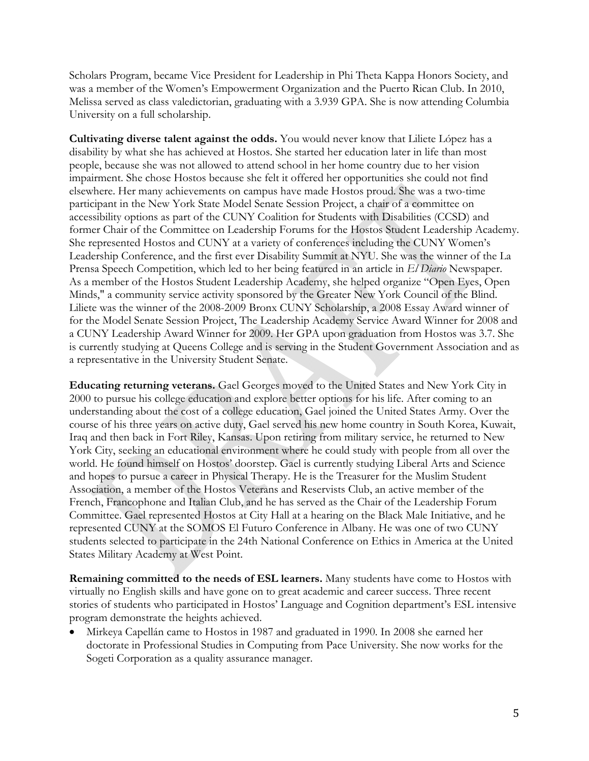Scholars Program, became Vice President for Leadership in Phi Theta Kappa Honors Society, and was a member of the Women's Empowerment Organization and the Puerto Rican Club. In 2010, Melissa served as class valedictorian, graduating with a 3.939 GPA. She is now attending Columbia University on a full scholarship.

**Cultivating diverse talent against the odds.** You would never know that Liliete López has a disability by what she has achieved at Hostos. She started her education later in life than most people, because she was not allowed to attend school in her home country due to her vision impairment. She chose Hostos because she felt it offered her opportunities she could not find elsewhere. Her many achievements on campus have made Hostos proud. She was a two-time participant in the New York State Model Senate Session Project, a chair of a committee on accessibility options as part of the CUNY Coalition for Students with Disabilities (CCSD) and former Chair of the Committee on Leadership Forums for the Hostos Student Leadership Academy. She represented Hostos and CUNY at a variety of conferences including the CUNY Women's Leadership Conference, and the first ever Disability Summit at NYU. She was the winner of the La Prensa Speech Competition, which led to her being featured in an article in *El Diario* Newspaper. As a member of the Hostos Student Leadership Academy, she helped organize "Open Eyes, Open Minds," a community service activity sponsored by the Greater New York Council of the Blind. Liliete was the winner of the 2008-2009 Bronx CUNY Scholarship, a 2008 Essay Award winner of for the Model Senate Session Project, The Leadership Academy Service Award Winner for 2008 and a CUNY Leadership Award Winner for 2009. Her GPA upon graduation from Hostos was 3.7. She is currently studying at Queens College and is serving in the Student Government Association and as a representative in the University Student Senate.

**Educating returning veterans.** Gael Georges moved to the United States and New York City in 2000 to pursue his college education and explore better options for his life. After coming to an understanding about the cost of a college education, Gael joined the United States Army. Over the course of his three years on active duty, Gael served his new home country in South Korea, Kuwait, Iraq and then back in Fort Riley, Kansas. Upon retiring from military service, he returned to New York City, seeking an educational environment where he could study with people from all over the world. He found himself on Hostos' doorstep. Gael is currently studying Liberal Arts and Science and hopes to pursue a career in Physical Therapy. He is the Treasurer for the Muslim Student Association, a member of the Hostos Veterans and Reservists Club, an active member of the French, Francophone and Italian Club, and he has served as the Chair of the Leadership Forum Committee. Gael represented Hostos at City Hall at a hearing on the Black Male Initiative, and he represented CUNY at the SOMOS El Futuro Conference in Albany. He was one of two CUNY students selected to participate in the 24th National Conference on Ethics in America at the United States Military Academy at West Point.

**Remaining committed to the needs of ESL learners.** Many students have come to Hostos with virtually no English skills and have gone on to great academic and career success. Three recent stories of students who participated in Hostos' Language and Cognition department's ESL intensive program demonstrate the heights achieved.

 Mirkeya Capellán came to Hostos in 1987 and graduated in 1990. In 2008 she earned her doctorate in Professional Studies in Computing from Pace University. She now works for the Sogeti Corporation as a quality assurance manager.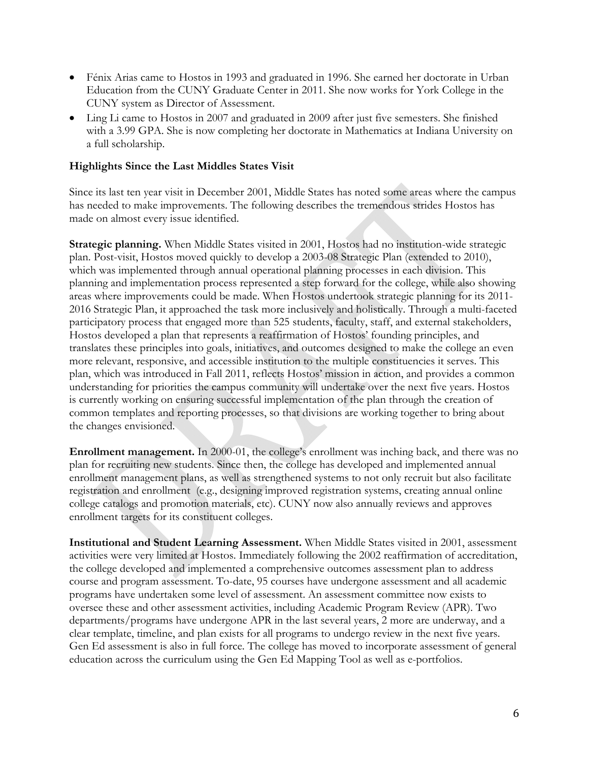- Fénix Arias came to Hostos in 1993 and graduated in 1996. She earned her doctorate in Urban Education from the CUNY Graduate Center in 2011. She now works for York College in the CUNY system as Director of Assessment.
- Ling Li came to Hostos in 2007 and graduated in 2009 after just five semesters. She finished with a 3.99 GPA. She is now completing her doctorate in Mathematics at Indiana University on a full scholarship.

## **Highlights Since the Last Middles States Visit**

Since its last ten year visit in December 2001, Middle States has noted some areas where the campus has needed to make improvements. The following describes the tremendous strides Hostos has made on almost every issue identified.

**Strategic planning.** When Middle States visited in 2001, Hostos had no institution-wide strategic plan. Post-visit, Hostos moved quickly to develop a 2003-08 Strategic Plan (extended to 2010), which was implemented through annual operational planning processes in each division. This planning and implementation process represented a step forward for the college, while also showing areas where improvements could be made. When Hostos undertook strategic planning for its 2011- 2016 Strategic Plan, it approached the task more inclusively and holistically. Through a multi-faceted participatory process that engaged more than 525 students, faculty, staff, and external stakeholders, Hostos developed a plan that represents a reaffirmation of Hostos' founding principles, and translates these principles into goals, initiatives, and outcomes designed to make the college an even more relevant, responsive, and accessible institution to the multiple constituencies it serves. This plan, which was introduced in Fall 2011, reflects Hostos' mission in action, and provides a common understanding for priorities the campus community will undertake over the next five years. Hostos is currently working on ensuring successful implementation of the plan through the creation of common templates and reporting processes, so that divisions are working together to bring about the changes envisioned.

**Enrollment management.** In 2000-01, the college's enrollment was inching back, and there was no plan for recruiting new students. Since then, the college has developed and implemented annual enrollment management plans, as well as strengthened systems to not only recruit but also facilitate registration and enrollment (e.g., designing improved registration systems, creating annual online college catalogs and promotion materials, etc). CUNY now also annually reviews and approves enrollment targets for its constituent colleges.

**Institutional and Student Learning Assessment.** When Middle States visited in 2001, assessment activities were very limited at Hostos. Immediately following the 2002 reaffirmation of accreditation, the college developed and implemented a comprehensive outcomes assessment plan to address course and program assessment. To-date, 95 courses have undergone assessment and all academic programs have undertaken some level of assessment. An assessment committee now exists to oversee these and other assessment activities, including Academic Program Review (APR). Two departments/programs have undergone APR in the last several years, 2 more are underway, and a clear template, timeline, and plan exists for all programs to undergo review in the next five years. Gen Ed assessment is also in full force. The college has moved to incorporate assessment of general education across the curriculum using the Gen Ed Mapping Tool as well as e-portfolios.